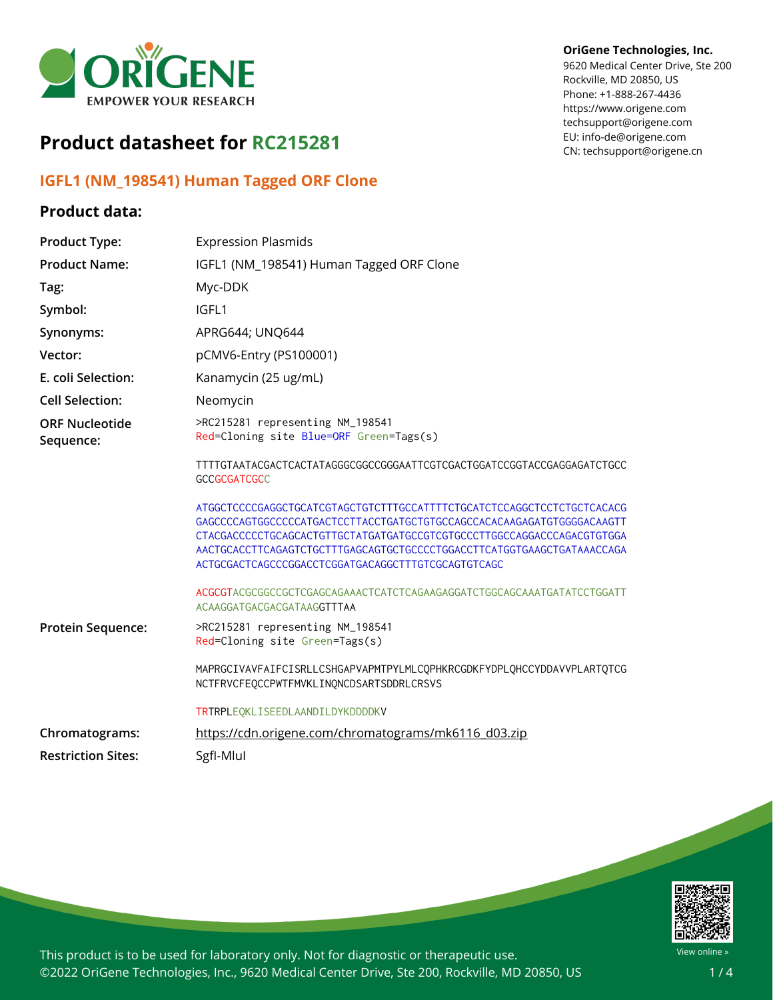

# **Product datasheet for RC215281**

# **IGFL1 (NM\_198541) Human Tagged ORF Clone**

### **Product data:**

#### **OriGene Technologies, Inc.**

9620 Medical Center Drive, Ste 200 Rockville, MD 20850, US Phone: +1-888-267-4436 https://www.origene.com techsupport@origene.com EU: info-de@origene.com CN: techsupport@origene.cn

| <b>Product Type:</b>               | <b>Expression Plasmids</b>                                                                                                                                                                                                                                                       |
|------------------------------------|----------------------------------------------------------------------------------------------------------------------------------------------------------------------------------------------------------------------------------------------------------------------------------|
| <b>Product Name:</b>               | IGFL1 (NM_198541) Human Tagged ORF Clone                                                                                                                                                                                                                                         |
| Tag:                               | Myc-DDK                                                                                                                                                                                                                                                                          |
| Symbol:                            | IGFL1                                                                                                                                                                                                                                                                            |
| Synonyms:                          | APRG644; UNQ644                                                                                                                                                                                                                                                                  |
| Vector:                            | pCMV6-Entry (PS100001)                                                                                                                                                                                                                                                           |
| E. coli Selection:                 | Kanamycin (25 ug/mL)                                                                                                                                                                                                                                                             |
| <b>Cell Selection:</b>             | Neomycin                                                                                                                                                                                                                                                                         |
| <b>ORF Nucleotide</b><br>Sequence: | >RC215281 representing NM_198541<br>Red=Cloning site Blue=ORF Green=Tags(s)                                                                                                                                                                                                      |
|                                    | TTTTGTAATACGACTCACTATAGGGCGGCCGGGAATTCGTCGACTGGATCCGGTACCGAGGAGATCTGCC<br><b>GCCGCGATCGCC</b>                                                                                                                                                                                    |
|                                    | ATGGCTCCCCGAGGCTGCATCGTAGCTGTCTTTGCCATTTTCTGCATCTCCAGGCTCCTCTGCTCACACG<br>CTACGACCCCCTGCAGCACTGTTGCTATGATGATGCCGTCGTGCCCTTGGCCAGGACCCAGACGTGTGGA<br>AACTGCACCTTCAGAGTCTGCTTTGAGCAGTGCTGCCCCTGGACCTTCATGGTGAAGCTGATAAACCAGA<br>ACTGCGACTCAGCCCGGACCTCGGATGACAGGCTTTGTCGCAGTGTCAGC |
|                                    | ACGCGTACGCGGCCGCTCGAGCAGAAACTCATCTCAGAAGAGGATCTGGCAGCAAATGATATCCTGGATT<br>ACAAGGATGACGACGATAAGGTTTAA                                                                                                                                                                             |
| <b>Protein Sequence:</b>           | >RC215281 representing NM_198541<br>Red=Cloning site Green=Tags(s)                                                                                                                                                                                                               |
|                                    | MAPRGCIVAVFAIFCISRLLCSHGAPVAPMTPYLMLCQPHKRCGDKFYDPLQHCCYDDAVVPLARTQTCG<br>NCTFRVCFEOCCPWTFMVKLINONCDSARTSDDRLCRSVS                                                                                                                                                               |
|                                    | TRTRPLEQKLISEEDLAANDILDYKDDDDKV                                                                                                                                                                                                                                                  |
| Chromatograms:                     | https://cdn.origene.com/chromatograms/mk6116_d03.zip                                                                                                                                                                                                                             |
| <b>Restriction Sites:</b>          | SgfI-Mlul                                                                                                                                                                                                                                                                        |



This product is to be used for laboratory only. Not for diagnostic or therapeutic use. ©2022 OriGene Technologies, Inc., 9620 Medical Center Drive, Ste 200, Rockville, MD 20850, US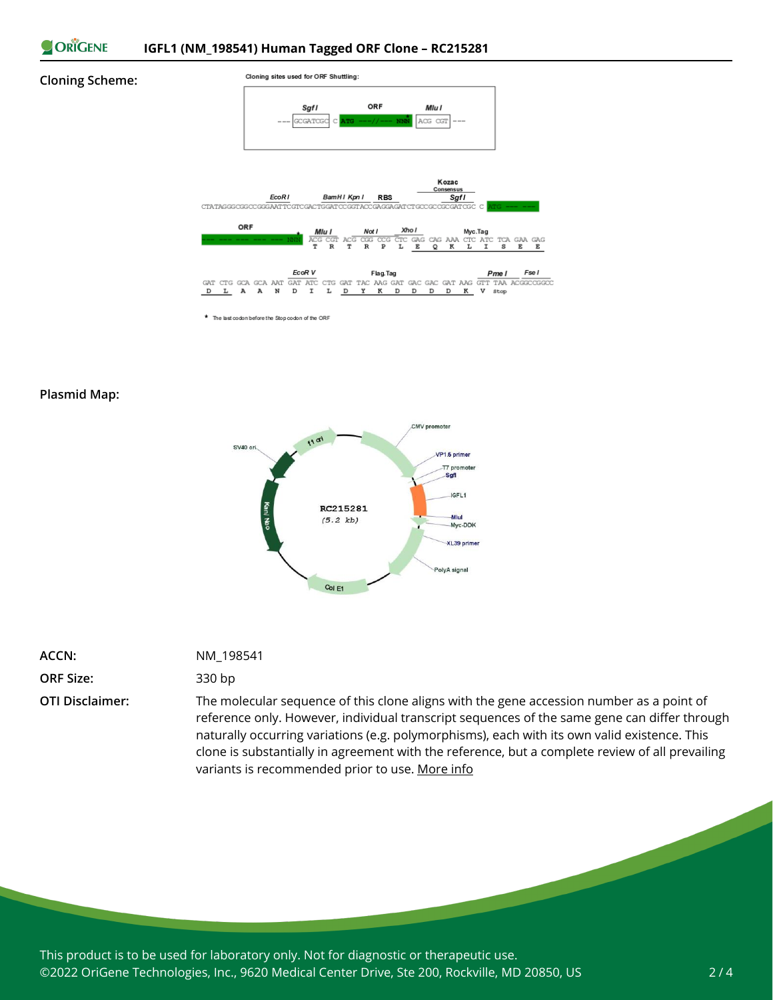

#### **Cloning Scheme:**



\* The last codon before the Stop codon of the ORF

### **Plasmid Map:**



| ACCN:            |  |
|------------------|--|
| <b>ORF Size:</b> |  |

## **ACCN:** NM\_198541

### **ORF Size:** 330 bp

**OTI Disclaimer:** The molecular sequence of this clone aligns with the gene accession number as a point of reference only. However, individual transcript sequences of the same gene can differ through naturally occurring variations (e.g. polymorphisms), each with its own valid existence. This clone is substantially in agreement with the reference, but a complete review of all prevailing variants is recommended prior to use. [More](https://www.ncbi.nlm.nih.gov/books/NBK174586/) info

This product is to be used for laboratory only. Not for diagnostic or therapeutic use. ©2022 OriGene Technologies, Inc., 9620 Medical Center Drive, Ste 200, Rockville, MD 20850, US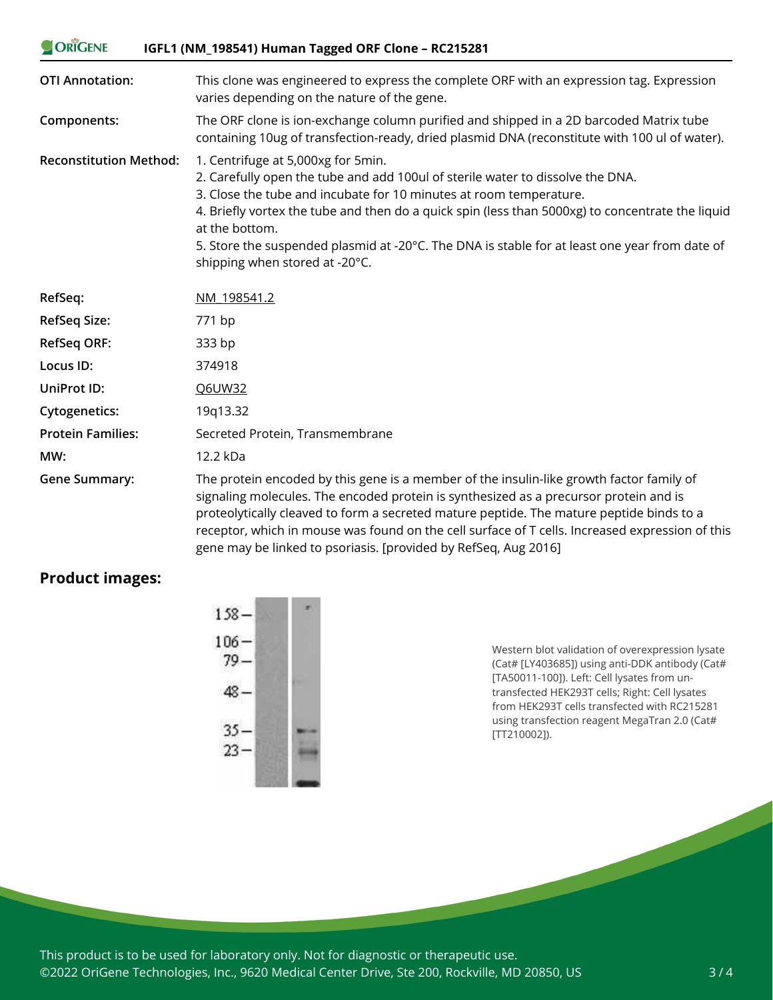| ORIGENE                       | IGFL1 (NM_198541) Human Tagged ORF Clone - RC215281                                                                                                                                                                                                                                                                                                                                                                                                 |
|-------------------------------|-----------------------------------------------------------------------------------------------------------------------------------------------------------------------------------------------------------------------------------------------------------------------------------------------------------------------------------------------------------------------------------------------------------------------------------------------------|
| <b>OTI Annotation:</b>        | This clone was engineered to express the complete ORF with an expression tag. Expression<br>varies depending on the nature of the gene.                                                                                                                                                                                                                                                                                                             |
| Components:                   | The ORF clone is ion-exchange column purified and shipped in a 2D barcoded Matrix tube<br>containing 10ug of transfection-ready, dried plasmid DNA (reconstitute with 100 ul of water).                                                                                                                                                                                                                                                             |
| <b>Reconstitution Method:</b> | 1. Centrifuge at 5,000xg for 5min.<br>2. Carefully open the tube and add 100ul of sterile water to dissolve the DNA.<br>3. Close the tube and incubate for 10 minutes at room temperature.<br>4. Briefly vortex the tube and then do a quick spin (less than 5000xg) to concentrate the liquid<br>at the bottom.<br>5. Store the suspended plasmid at -20°C. The DNA is stable for at least one year from date of<br>shipping when stored at -20°C. |
| RefSeq:                       | NM 198541.2                                                                                                                                                                                                                                                                                                                                                                                                                                         |
| <b>RefSeq Size:</b>           | 771 bp                                                                                                                                                                                                                                                                                                                                                                                                                                              |
| <b>RefSeq ORF:</b>            | 333 bp                                                                                                                                                                                                                                                                                                                                                                                                                                              |
| Locus ID:                     | 374918                                                                                                                                                                                                                                                                                                                                                                                                                                              |
| <b>UniProt ID:</b>            | Q6UW32                                                                                                                                                                                                                                                                                                                                                                                                                                              |
| <b>Cytogenetics:</b>          | 19q13.32                                                                                                                                                                                                                                                                                                                                                                                                                                            |
| <b>Protein Families:</b>      | Secreted Protein, Transmembrane                                                                                                                                                                                                                                                                                                                                                                                                                     |
| MW:                           | 12.2 kDa                                                                                                                                                                                                                                                                                                                                                                                                                                            |
| <b>Gene Summary:</b>          | The protein encoded by this gene is a member of the insulin-like growth factor family of<br>signaling molecules. The encoded protein is synthesized as a precursor protein and is<br>proteolytically cleaved to form a secreted mature peptide. The mature peptide binds to a                                                                                                                                                                       |

gene may be linked to psoriasis. [provided by RefSeq, Aug 2016]

receptor, which in mouse was found on the cell surface of T cells. Increased expression of this

## **Product images:**



Western blot validation of overexpression lysate (Cat# [LY403685]) using anti-DDK antibody (Cat# [TA50011-100]). Left: Cell lysates from untransfected HEK293T cells; Right: Cell lysates from HEK293T cells transfected with RC215281 using transfection reagent MegaTran 2.0 (Cat# [TT210002]).

This product is to be used for laboratory only. Not for diagnostic or therapeutic use. ©2022 OriGene Technologies, Inc., 9620 Medical Center Drive, Ste 200, Rockville, MD 20850, US